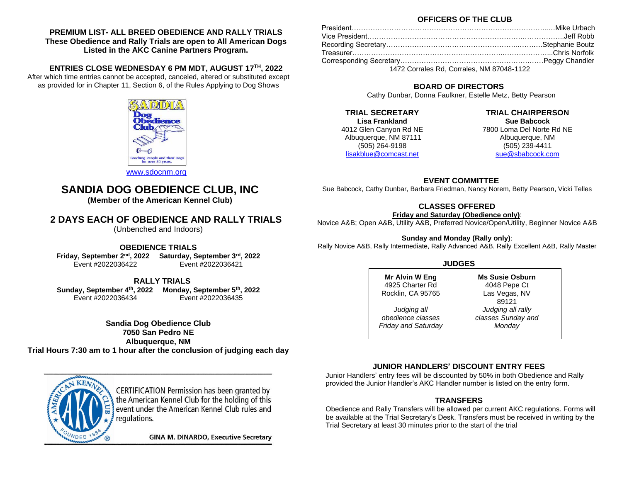**PREMIUM LIST- ALL BREED OBEDIENCE AND RALLY TRIALS These Obedience and Rally Trials are open to All American Dogs Listed in the AKC Canine Partners Program.**

**ENTRIES CLOSE WEDNESDAY 6 PM MDT, AUGUST 17TH, 2022** After which time entries cannot be accepted, canceled, altered or substituted except as provided for in Chapter 11, Section 6, of the Rules Applying to Dog Shows



#### **OFFICERS OF THE CLUB**

| President……………………………………………………………………………Mike Urbach            |  |
|--------------------------------------------------------------|--|
| Vice President……………………………………………………………………………Jeff Robb         |  |
| Recording Secretary……………………………………………………………………Stephanie Boutz |  |
| Treasurer……………………………………………………………………………Chris Norfolk          |  |
|                                                              |  |
| 1472 Corrales Rd, Corrales, NM 87048-1122                    |  |

## **BOARD OF DIRECTORS**

Cathy Dunbar, Donna Faulkner, Estelle Metz, Betty Pearson

**TRIAL SECRETARY Lisa Frankland** 4012 Glen Canyon Rd NE Albuquerque, NM 87111 (505) 264-9198 [lisakblue@comcast.net](mailto:lisakblue@comcast.net)

**TRIAL CHAIRPERSON Sue Babcock** 7800 Loma Del Norte Rd NE Albuquerque, NM (505) 239-4411 [sue@sbabcock.com](mailto:sue@sbabcock.com)

**EVENT COMMITTEE**

Sue Babcock, Cathy Dunbar, Barbara Friedman, Nancy Norem, Betty Pearson, Vicki Telles

## **CLASSES OFFERED**

**Friday and Saturday (Obedience only)**:

Novice A&B; Open A&B, Utility A&B, Preferred Novice/Open/Utility, Beginner Novice A&B

**Sunday and Monday (Rally only)**:

Rally Novice A&B, Rally Intermediate, Rally Advanced A&B, Rally Excellent A&B, Rally Master

| <b>JUDGES</b>              |                        |  |  |
|----------------------------|------------------------|--|--|
| <b>Mr Alvin W Eng</b>      | <b>Ms Susie Osburn</b> |  |  |
| 4925 Charter Rd            | 4048 Pepe Ct           |  |  |
| Rocklin, CA 95765          | Las Vegas, NV<br>89121 |  |  |
| Judging all                | Judging all rally      |  |  |
| obedience classes          | classes Sunday and     |  |  |
| <b>Friday and Saturday</b> | Monday                 |  |  |

## **JUNIOR HANDLERS' DISCOUNT ENTRY FEES**

Junior Handlers' entry fees will be discounted by 50% in both Obedience and Rally provided the Junior Handler's AKC Handler number is listed on the entry form.

## **TRANSFERS**

Obedience and Rally Transfers will be allowed per current AKC regulations. Forms will be available at the Trial Secretary's Desk. Transfers must be received in writing by the Trial Secretary at least 30 minutes prior to the start of the trial

[www.sdocnm.org](http://www.sdocnm.org/)

# **SANDIA DOG OBEDIENCE CLUB, INC**

**(Member of the American Kennel Club)**

# **2 DAYS EACH OF OBEDIENCE AND RALLY TRIALS**

(Unbenched and Indoors)

## **OBEDIENCE TRIALS**

**Friday, September 2nd , 2022 Saturday, September 3rd, 2022** Event #2022036422Event #2022036421

 **RALLY TRIALS**

**Sunday, September 4th , 2022 Monday, September 5th, 2022** Event #2022036434Event #2022036435

**Sandia Dog Obedience Club 7050 San Pedro NE Albuquerque, NM Trial Hours 7:30 am to 1 hour after the conclusion of judging each day**



CERTIFICATION Permission has been granted by the American Kennel Club for the holding of this event under the American Kennel Club rules and regulations.

**GINA M. DINARDO, Executive Secretary**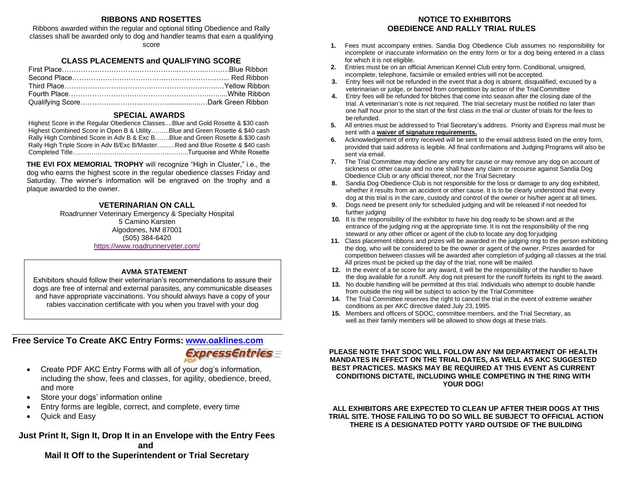## **RIBBONS AND ROSETTES**

Ribbons awarded within the regular and optional titling Obedience and Rally classes shall be awarded only to dog and handler teams that earn a qualifying score

## **CLASS PLACEMENTS and QUALIFYING SCORE**

#### **SPECIAL AWARDS**

Highest Score in the Regular Obedience Classes....Blue and Gold Rosette & \$30 cash Highest Combined Score in Open B & Utility……...Blue and Green Rosette & \$40 cash Rally High Combined Score in Adv B & Exc B…….Blue and Green Rosette & \$30 cash Rally High Triple Score in Adv B/Exc B/Master…..….Red and Blue Rosette & \$40 cash Completed Title………………………………………...……..Turquoise and White Rosette

**THE EVI FOX MEMORIAL TROPHY** will recognize "High in Cluster," i.e., the dog who earns the highest score in the regular obedience classes Friday and Saturday. The winner's information will be engraved on the trophy and a plaque awarded to the owner.

#### **VETERINARIAN ON CALL**

Roadrunner Veterinary Emergency & Specialty Hospital 5 Camino Karsten Algodones, NM 87001 (505) 384-6420 <https://www.roadrunnerveter.com/>

#### **AVMA STATEMENT**

Exhibitors should follow their veterinarian's recommendations to assure their dogs are free of internal and external parasites, any communicable diseases and have appropriate vaccinations. You should always have a copy of your rabies vaccination certificate with you when you travel with your dog

## **Free Service To Create AKC Entry Forms: [www.oaklines.com](http://www.oaklines.com/)**

*Express Entries =* 

- Create PDF AKC Entry Forms with all of your dog's information, including the show, fees and classes, for agility, obedience, breed, and more
- Store your dogs' information online
- Entry forms are legible, correct, and complete, every time
- Quick and Easy

## **Just Print It, Sign It, Drop It in an Envelope with the Entry Fees and**

**Mail It Off to the Superintendent or Trial Secretary**

## **NOTICE TO EXHIBITORS OBEDIENCE AND RALLY TRIAL RULES**

- **1.** Fees must accompany entries. Sandia Dog Obedience Club assumes no responsibility for incomplete or inaccurate information on the entry form or for a dog being entered in a class for which it is not eligible.
- **2.** Entries must be on an official American Kennel Club entry form. Conditional, unsigned, incomplete, telephone, facsimile or emailed entries will not be accepted.
- **3.** Entry fees will not be refunded in the event that a dog is absent, disqualified, excused by a veterinarian or judge, or barred from competition by action of the TrialCommittee
- **4.** Entry fees will be refunded for bitches that come into season after the closing date of the trial. A veterinarian's note is not required. The trial secretary must be notified no later than one half hour prior to the start of the first class in the trial or cluster of trials for the fees to berefunded.
- **5.** All entries must be addressed to Trial Secretary's address. Priority and Express mail must be sent with a **waiver of signature requirements.**
- **6.** Acknowledgement of entry received will be sent to the email address listed on the entry form, provided that said address is legible. All final confirmations and Judging Programs will also be sent via email.
- **7.** The Trial Committee may decline any entry for cause or may remove any dog on account of sickness or other cause and no one shall have any claim or recourse against Sandia Dog Obedience Club or any official thereof, nor the Trial Secretary
- **8.** Sandia Dog Obedience Club is not responsible for the loss or damage to any dog exhibited, whether it results from an accident or other cause. It is to be clearly understood that every dog at this trial is in the care, custody and control of the owner or his/her agent at all times.
- **9.** Dogs need be present only for scheduled judging and will be released if not needed for further judging
- **10.** It is the responsibility of the exhibitor to have his dog ready to be shown and at the entrance of the judging ring at the appropriate time. It is not the responsibility of the ring steward or any other officer or agent of the club to locate any dog for judging
- **11.** Class placement ribbons and prizes will be awarded in the judging ring to the person exhibiting the dog, who will be considered to be the owner or agent of the owner. Prizes awarded for competition between classes will be awarded after completion of judging all classes at the trial. All prizes must be picked up the day of the trial; none will be mailed.
- **12.** In the event of a tie score for any award, it will be the responsibility of the handler to have the dog available for a runoff. Any dog not present for the runoff forfeits its right to the award.
- **13.** No double handling will be permitted at this trial. Individuals who attempt to double handle from outside the ring will be subject to action by the Trial Committee
- **14.** The Trial Committee reserves the right to cancel the trial in the event of extreme weather conditions as per AKC directive dated July 23, 1995.
- **15.** Members and officers of SDOC, committee members, and the Trial Secretary, as well as their family members will be allowed to show dogs at these trials.

**PLEASE NOTE THAT SDOC WILL FOLLOW ANY NM DEPARTMENT OF HEALTH MANDATES IN EFFECT ON THE TRIAL DATES, AS WELL AS AKC SUGGESTED BEST PRACTICES. MASKS MAY BE REQUIRED AT THIS EVENT AS CURRENT CONDITIONS DICTATE, INCLUDING WHILE COMPETING IN THE RING WITH YOUR DOG!**

#### **ALL EXHIBITORS ARE EXPECTED TO CLEAN UP AFTER THEIR DOGS AT THIS TRIAL SITE. THOSE FAILING TO DO SO WILL BE SUBJECT TO OFFICIAL ACTION THERE IS A DESIGNATED POTTY YARD OUTSIDE OF THE BUILDING**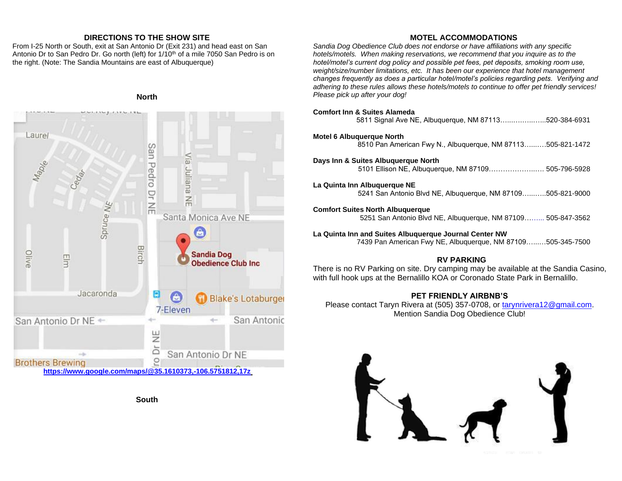## **DIRECTIONS TO THE SHOW SITE**

From I-25 North or South, exit at San Antonio Dr (Exit 231) and head east on San Antonio Dr to San Pedro Dr. Go north (left) for  $1/10<sup>th</sup>$  of a mile 7050 San Pedro is on the right. (Note: The Sandia Mountains are east of Albuquerque)

#### **North**



**South**

## **MOTEL ACCOMMODATIONS**

*Sandia Dog Obedience Club does not endorse or have affiliations with any specific hotels/motels. When making reservations, we recommend that you inquire as to the hotel/motel's current dog policy and possible pet fees, pet deposits, smoking room use, weight/size/number limitations, etc. It has been our experience that hotel management changes frequently as does a particular hotel/motel's policies regarding pets. Verifying and adhering to these rules allows these hotels/motels to continue to offer pet friendly services! Please pick up after your dog!*

| <b>Comfort Inn &amp; Suites Alameda</b><br>5811 Signal Ave NE, Albuquerque, NM 87113520-384-6931                                                                                          |
|-------------------------------------------------------------------------------------------------------------------------------------------------------------------------------------------|
| <b>Motel 6 Albuquerque North</b><br>8510 Pan American Fwy N., Albuguergue, NM 87113505-821-1472                                                                                           |
| Days Inn & Suites Albuguergue North<br>5101 Ellison NE, Albuquerque, NM 87109 505-796-5928                                                                                                |
| La Quinta Inn Albuquerque NE<br>5241 San Antonio Blvd NE, Albuquerque, NM 87109505-821-9000                                                                                               |
| <b>Comfort Suites North Albuguerque</b><br>5251 San Antonio Blvd NE, Albuquerque, NM 87109 505-847-3562                                                                                   |
| La Quinta Inn and Suites Albuguergue Journal Center NW<br>7439 Pan American Fwy NE, Albuquerque, NM 87109505-345-7500                                                                     |
| <b>RV PARKING</b><br>There is no RV Parking on site. Dry camping may be available at the Sandia Casino,<br>with full hook ups at the Bernalillo KOA or Coronado State Park in Bernalillo. |

## **PET FRIENDLY AIRBNB'S**

Please contact Taryn Rivera at (505) 357-0708, or [tarynrivera12@gmail.com.](tarynrivera12@gmail.com) Mention Sandia Dog Obedience Club!

![](_page_2_Picture_10.jpeg)